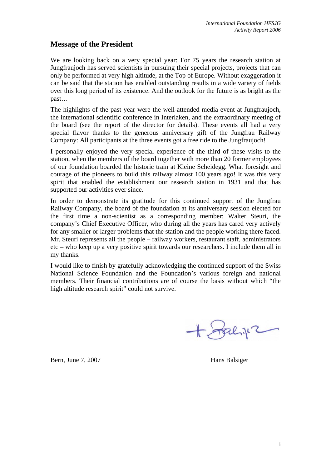## **Message of the President**

We are looking back on a very special year: For 75 years the research station at Jungfraujoch has served scientists in pursuing their special projects, projects that can only be performed at very high altitude, at the Top of Europe. Without exaggeration it can be said that the station has enabled outstanding results in a wide variety of fields over this long period of its existence. And the outlook for the future is as bright as the past…

The highlights of the past year were the well-attended media event at Jungfraujoch, the international scientific conference in Interlaken, and the extraordinary meeting of the board (see the report of the director for details). These events all had a very special flavor thanks to the generous anniversary gift of the Jungfrau Railway Company: All participants at the three events got a free ride to the Jungfraujoch!

I personally enjoyed the very special experience of the third of these visits to the station, when the members of the board together with more than 20 former employees of our foundation boarded the historic train at Kleine Scheidegg. What foresight and courage of the pioneers to build this railway almost 100 years ago! It was this very spirit that enabled the establishment our research station in 1931 and that has supported our activities ever since.

In order to demonstrate its gratitude for this continued support of the Jungfrau Railway Company, the board of the foundation at its anniversary session elected for the first time a non-scientist as a corresponding member: Walter Steuri, the company's Chief Executive Officer, who during all the years has cared very actively for any smaller or larger problems that the station and the people working there faced. Mr. Steuri represents all the people – railway workers, restaurant staff, administrators etc – who keep up a very positive spirit towards our researchers. I include them all in my thanks.

I would like to finish by gratefully acknowledging the continued support of the Swiss National Science Foundation and the Foundation's various foreign and national members. Their financial contributions are of course the basis without which "the high altitude research spirit" could not survive.

Falip 2

Bern, June 7, 2007 Hans Balsiger